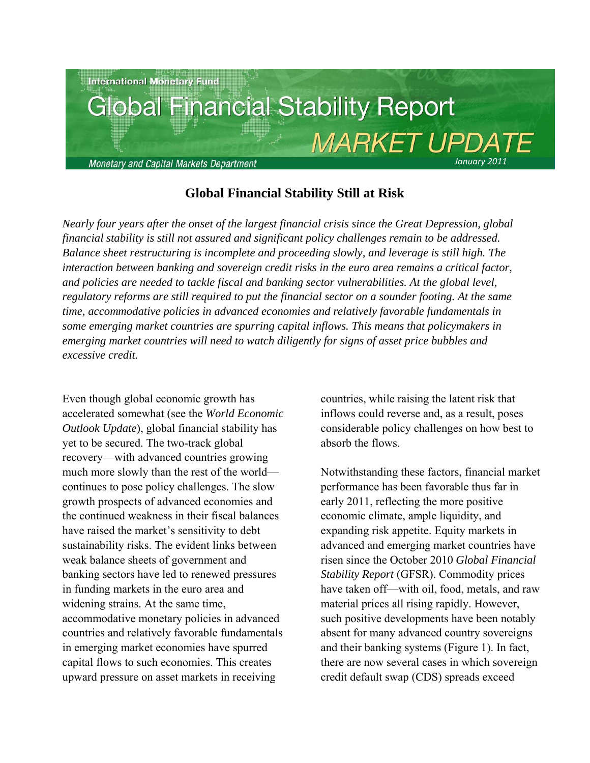

# **Global Financial Stability Still at Risk**

*Nearly four years after the onset of the largest financial crisis since the Great Depression, global financial stability is still not assured and significant policy challenges remain to be addressed. Balance sheet restructuring is incomplete and proceeding slowly, and leverage is still high. The interaction between banking and sovereign credit risks in the euro area remains a critical factor, and policies are needed to tackle fiscal and banking sector vulnerabilities. At the global level, regulatory reforms are still required to put the financial sector on a sounder footing. At the same time, accommodative policies in advanced economies and relatively favorable fundamentals in some emerging market countries are spurring capital inflows. This means that policymakers in emerging market countries will need to watch diligently for signs of asset price bubbles and excessive credit.*

Even though global economic growth has accelerated somewhat (see the *World Economic Outlook Update*), global financial stability has yet to be secured. The two-track global recovery—with advanced countries growing much more slowly than the rest of the world continues to pose policy challenges. The slow growth prospects of advanced economies and the continued weakness in their fiscal balances have raised the market's sensitivity to debt sustainability risks. The evident links between weak balance sheets of government and banking sectors have led to renewed pressures in funding markets in the euro area and widening strains. At the same time, accommodative monetary policies in advanced countries and relatively favorable fundamentals in emerging market economies have spurred capital flows to such economies. This creates upward pressure on asset markets in receiving

countries, while raising the latent risk that inflows could reverse and, as a result, poses considerable policy challenges on how best to absorb the flows.

Notwithstanding these factors, financial market performance has been favorable thus far in early 2011, reflecting the more positive economic climate, ample liquidity, and expanding risk appetite. Equity markets in advanced and emerging market countries have risen since the October 2010 *Global Financial Stability Report* (GFSR). Commodity prices have taken off—with oil, food, metals, and raw material prices all rising rapidly. However, such positive developments have been notably absent for many advanced country sovereigns and their banking systems (Figure 1). In fact, there are now several cases in which sovereign credit default swap (CDS) spreads exceed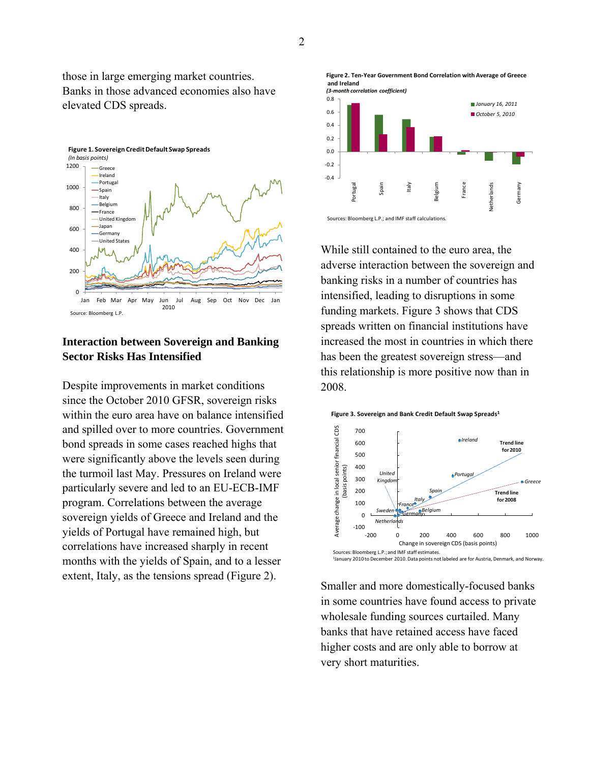those in large emerging market countries. Banks in those advanced economies also have elevated CDS spreads.



## **Interaction between Sovereign and Banking Sector Risks Has Intensified**

Despite improvements in market conditions since the October 2010 GFSR, sovereign risks within the euro area have on balance intensified and spilled over to more countries. Government bond spreads in some cases reached highs that were significantly above the levels seen during the turmoil last May. Pressures on Ireland were particularly severe and led to an EU-ECB-IMF program. Correlations between the average sovereign yields of Greece and Ireland and the yields of Portugal have remained high, but correlations have increased sharply in recent months with the yields of Spain, and to a lesser extent, Italy, as the tensions spread (Figure 2).





While still contained to the euro area, the adverse interaction between the sovereign and banking risks in a number of countries has intensified, leading to disruptions in some funding markets. Figure 3 shows that CDS spreads written on financial institutions have increased the most in countries in which there has been the greatest sovereign stress—and this relationship is more positive now than in 2008.





Smaller and more domestically-focused banks in some countries have found access to private wholesale funding sources curtailed. Many banks that have retained access have faced higher costs and are only able to borrow at very short maturities.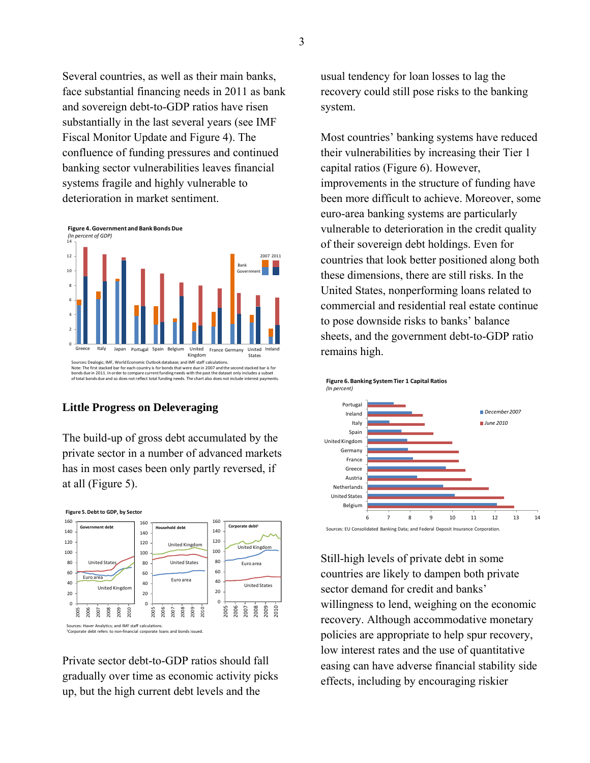Several countries, as well as their main banks, face substantial financing needs in 2011 as bank and sovereign debt-to-GDP ratios have risen substantially in the last several years (see IMF Fiscal Monitor Update and Figure 4). The confluence of funding pressures and continued banking sector vulnerabilities leaves financial systems fragile and highly vulnerable to deterioration in market sentiment.



### **Little Progress on Deleveraging**

The build-up of gross debt accumulated by the private sector in a number of advanced markets has in most cases been only partly reversed, if at all (Figure 5).



Private sector debt-to-GDP ratios should fall gradually over time as economic activity picks up, but the high current debt levels and the

usual tendency for loan losses to lag the recovery could still pose risks to the banking system.

Most countries' banking systems have reduced their vulnerabilities by increasing their Tier 1 capital ratios (Figure 6). However, improvements in the structure of funding have been more difficult to achieve. Moreover, some euro-area banking systems are particularly vulnerable to deterioration in the credit quality of their sovereign debt holdings. Even for countries that look better positioned along both these dimensions, there are still risks. In the United States, nonperforming loans related to commercial and residential real estate continue to pose downside risks to banks' balance sheets, and the government debt-to-GDP ratio remains high.



Still-high levels of private debt in some countries are likely to dampen both private sector demand for credit and banks' willingness to lend, weighing on the economic recovery. Although accommodative monetary policies are appropriate to help spur recovery, low interest rates and the use of quantitative easing can have adverse financial stability side effects, including by encouraging riskier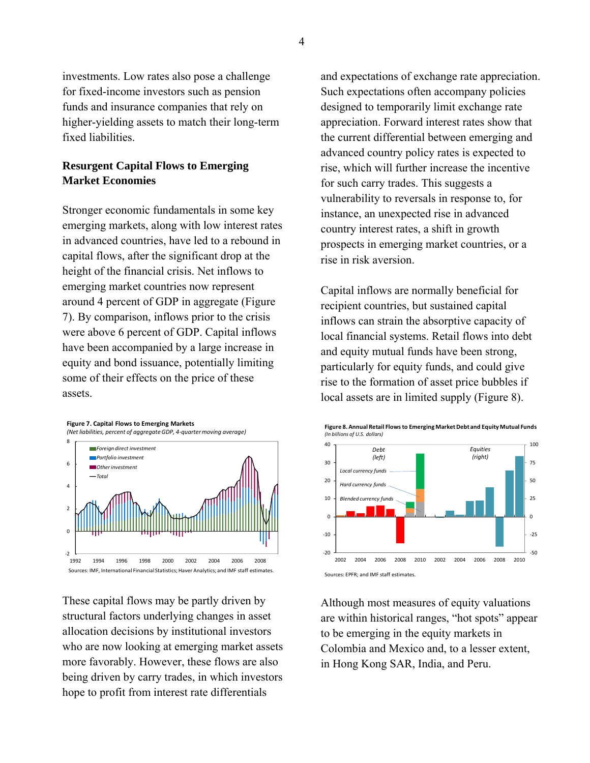investments. Low rates also pose a challenge for fixed-income investors such as pension funds and insurance companies that rely on higher-yielding assets to match their long-term fixed liabilities.

## **Resurgent Capital Flows to Emerging Market Economies**

Stronger economic fundamentals in some key emerging markets, along with low interest rates in advanced countries, have led to a rebound in capital flows, after the significant drop at the height of the financial crisis. Net inflows to emerging market countries now represent around 4 percent of GDP in aggregate (Figure 7). By comparison, inflows prior to the crisis were above 6 percent of GDP. Capital inflows have been accompanied by a large increase in equity and bond issuance, potentially limiting some of their effects on the price of these assets.



These capital flows may be partly driven by structural factors underlying changes in asset allocation decisions by institutional investors who are now looking at emerging market assets more favorably. However, these flows are also being driven by carry trades, in which investors hope to profit from interest rate differentials

and expectations of exchange rate appreciation. Such expectations often accompany policies designed to temporarily limit exchange rate appreciation. Forward interest rates show that the current differential between emerging and advanced country policy rates is expected to rise, which will further increase the incentive for such carry trades. This suggests a vulnerability to reversals in response to, for instance, an unexpected rise in advanced country interest rates, a shift in growth prospects in emerging market countries, or a rise in risk aversion.

Capital inflows are normally beneficial for recipient countries, but sustained capital inflows can strain the absorptive capacity of local financial systems. Retail flows into debt and equity mutual funds have been strong, particularly for equity funds, and could give rise to the formation of asset price bubbles if local assets are in limited supply (Figure 8).



Although most measures of equity valuations are within historical ranges, "hot spots" appear to be emerging in the equity markets in Colombia and Mexico and, to a lesser extent, in Hong Kong SAR, India, and Peru.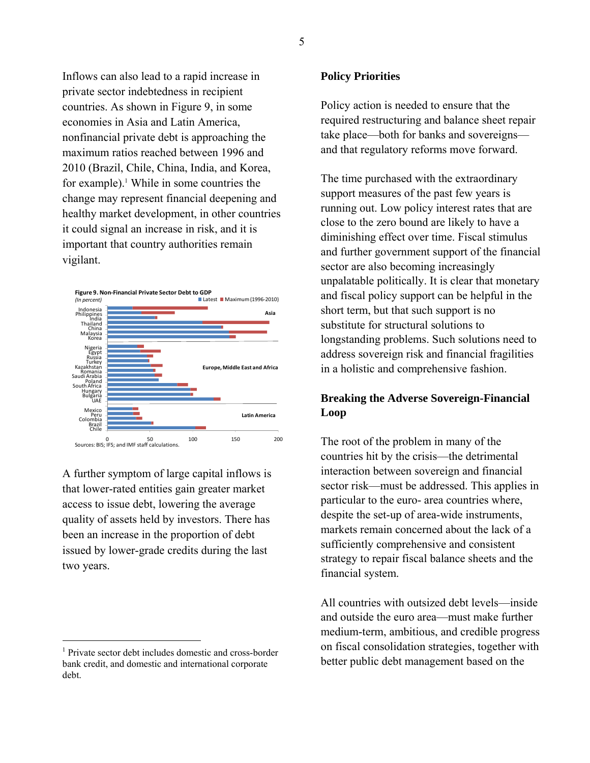Inflows can also lead to a rapid increase in private sector indebtedness in recipient countries. As shown in Figure 9, in some economies in Asia and Latin America, nonfinancial private debt is approaching the maximum ratios reached between 1996 and 2010 (Brazil, Chile, China, India, and Korea, for example).<sup>1</sup> While in some countries the change may represent financial deepening and healthy market development, in other countries it could signal an increase in risk, and it is important that country authorities remain vigilant.



A further symptom of large capital inflows is that lower-rated entities gain greater market access to issue debt, lowering the average quality of assets held by investors. There has been an increase in the proportion of debt issued by lower-grade credits during the last two years.

 $\overline{a}$ 

### **Policy Priorities**

Policy action is needed to ensure that the required restructuring and balance sheet repair take place—both for banks and sovereigns and that regulatory reforms move forward.

The time purchased with the extraordinary support measures of the past few years is running out. Low policy interest rates that are close to the zero bound are likely to have a diminishing effect over time. Fiscal stimulus and further government support of the financial sector are also becoming increasingly unpalatable politically. It is clear that monetary and fiscal policy support can be helpful in the short term, but that such support is no substitute for structural solutions to longstanding problems. Such solutions need to address sovereign risk and financial fragilities in a holistic and comprehensive fashion.

## **Breaking the Adverse Sovereign-Financial Loop**

The root of the problem in many of the countries hit by the crisis—the detrimental interaction between sovereign and financial sector risk—must be addressed. This applies in particular to the euro- area countries where, despite the set-up of area-wide instruments, markets remain concerned about the lack of a sufficiently comprehensive and consistent strategy to repair fiscal balance sheets and the financial system.

All countries with outsized debt levels—inside and outside the euro area—must make further medium-term, ambitious, and credible progress on fiscal consolidation strategies, together with better public debt management based on the

<sup>1</sup> Private sector debt includes domestic and cross-border bank credit, and domestic and international corporate debt.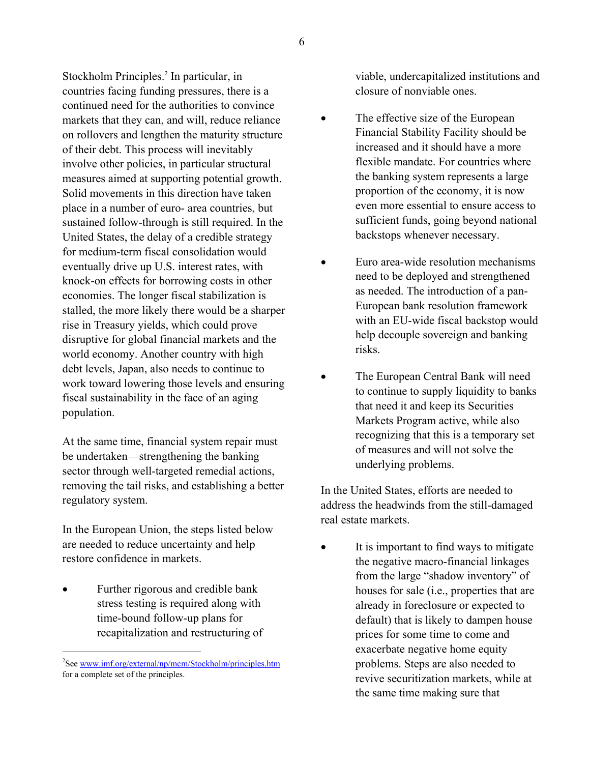Stockholm Principles.<sup>2</sup> In particular, in countries facing funding pressures, there is a continued need for the authorities to convince markets that they can, and will, reduce reliance on rollovers and lengthen the maturity structure of their debt. This process will inevitably involve other policies, in particular structural measures aimed at supporting potential growth. Solid movements in this direction have taken place in a number of euro- area countries, but sustained follow-through is still required. In the United States, the delay of a credible strategy for medium-term fiscal consolidation would eventually drive up U.S. interest rates, with knock-on effects for borrowing costs in other economies. The longer fiscal stabilization is stalled, the more likely there would be a sharper rise in Treasury yields, which could prove disruptive for global financial markets and the world economy. Another country with high debt levels, Japan, also needs to continue to work toward lowering those levels and ensuring fiscal sustainability in the face of an aging population.

At the same time, financial system repair must be undertaken—strengthening the banking sector through well-targeted remedial actions, removing the tail risks, and establishing a better regulatory system.

In the European Union, the steps listed below are needed to reduce uncertainty and help restore confidence in markets.

 Further rigorous and credible bank stress testing is required along with time-bound follow-up plans for recapitalization and restructuring of

 $\overline{a}$ 

viable, undercapitalized institutions and closure of nonviable ones.

- The effective size of the European Financial Stability Facility should be increased and it should have a more flexible mandate. For countries where the banking system represents a large proportion of the economy, it is now even more essential to ensure access to sufficient funds, going beyond national backstops whenever necessary.
- Euro area-wide resolution mechanisms need to be deployed and strengthened as needed. The introduction of a pan-European bank resolution framework with an EU-wide fiscal backstop would help decouple sovereign and banking risks.
- The European Central Bank will need to continue to supply liquidity to banks that need it and keep its Securities Markets Program active, while also recognizing that this is a temporary set of measures and will not solve the underlying problems.

In the United States, efforts are needed to address the headwinds from the still-damaged real estate markets.

 It is important to find ways to mitigate the negative macro-financial linkages from the large "shadow inventory" of houses for sale (i.e., properties that are already in foreclosure or expected to default) that is likely to dampen house prices for some time to come and exacerbate negative home equity problems. Steps are also needed to revive securitization markets, while at the same time making sure that

<sup>&</sup>lt;sup>2</sup>See www.imf.org/external/np/mcm/Stockholm/principles.htm for a complete set of the principles.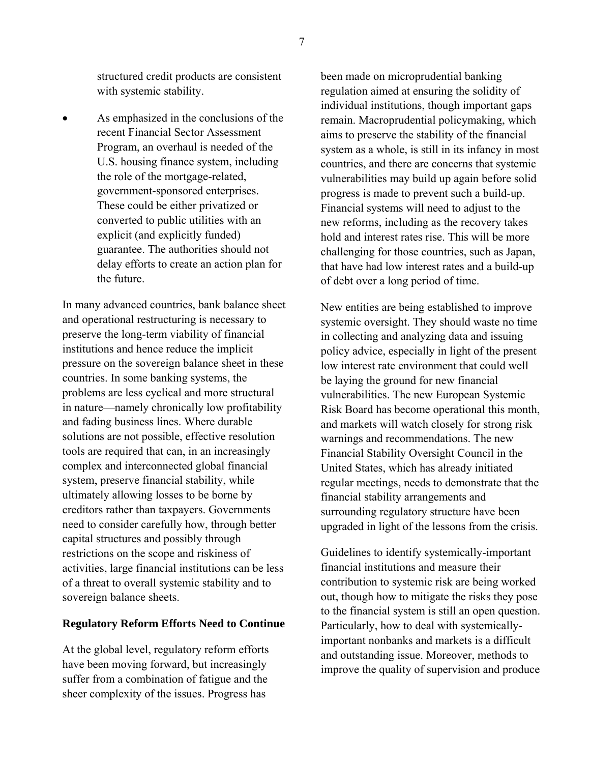structured credit products are consistent with systemic stability.

 As emphasized in the conclusions of the recent Financial Sector Assessment Program, an overhaul is needed of the U.S. housing finance system, including the role of the mortgage-related, government-sponsored enterprises. These could be either privatized or converted to public utilities with an explicit (and explicitly funded) guarantee. The authorities should not delay efforts to create an action plan for the future.

In many advanced countries, bank balance sheet and operational restructuring is necessary to preserve the long-term viability of financial institutions and hence reduce the implicit pressure on the sovereign balance sheet in these countries. In some banking systems, the problems are less cyclical and more structural in nature—namely chronically low profitability and fading business lines. Where durable solutions are not possible, effective resolution tools are required that can, in an increasingly complex and interconnected global financial system, preserve financial stability, while ultimately allowing losses to be borne by creditors rather than taxpayers. Governments need to consider carefully how, through better capital structures and possibly through restrictions on the scope and riskiness of activities, large financial institutions can be less of a threat to overall systemic stability and to sovereign balance sheets.

#### **Regulatory Reform Efforts Need to Continue**

At the global level, regulatory reform efforts have been moving forward, but increasingly suffer from a combination of fatigue and the sheer complexity of the issues. Progress has

been made on microprudential banking regulation aimed at ensuring the solidity of individual institutions, though important gaps remain. Macroprudential policymaking, which aims to preserve the stability of the financial system as a whole, is still in its infancy in most countries, and there are concerns that systemic vulnerabilities may build up again before solid progress is made to prevent such a build-up. Financial systems will need to adjust to the new reforms, including as the recovery takes hold and interest rates rise. This will be more challenging for those countries, such as Japan, that have had low interest rates and a build-up of debt over a long period of time.

New entities are being established to improve systemic oversight. They should waste no time in collecting and analyzing data and issuing policy advice, especially in light of the present low interest rate environment that could well be laying the ground for new financial vulnerabilities. The new European Systemic Risk Board has become operational this month, and markets will watch closely for strong risk warnings and recommendations. The new Financial Stability Oversight Council in the United States, which has already initiated regular meetings, needs to demonstrate that the financial stability arrangements and surrounding regulatory structure have been upgraded in light of the lessons from the crisis.

Guidelines to identify systemically-important financial institutions and measure their contribution to systemic risk are being worked out, though how to mitigate the risks they pose to the financial system is still an open question. Particularly, how to deal with systemicallyimportant nonbanks and markets is a difficult and outstanding issue. Moreover, methods to improve the quality of supervision and produce